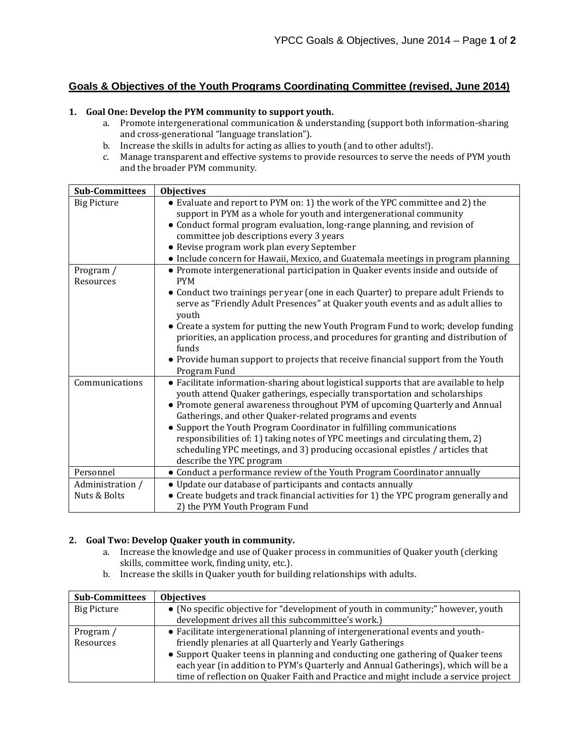# **Goals & Objectives of the Youth Programs Coordinating Committee (revised, June 2014)**

#### **1. Goal One: Develop the PYM community to support youth.**

- a. Promote intergenerational communication & understanding (support both information-sharing and cross-generational "language translation").
- b. Increase the skills in adults for acting as allies to youth (and to other adults!).
- c. Manage transparent and effective systems to provide resources to serve the needs of PYM youth and the broader PYM community.

| <b>Sub-Committees</b>  | <b>Objectives</b>                                                                                                                                                                                                                                                                                              |
|------------------------|----------------------------------------------------------------------------------------------------------------------------------------------------------------------------------------------------------------------------------------------------------------------------------------------------------------|
| <b>Big Picture</b>     | • Evaluate and report to PYM on: 1) the work of the YPC committee and 2) the<br>support in PYM as a whole for youth and intergenerational community                                                                                                                                                            |
|                        | • Conduct formal program evaluation, long-range planning, and revision of                                                                                                                                                                                                                                      |
|                        | committee job descriptions every 3 years                                                                                                                                                                                                                                                                       |
|                        | • Revise program work plan every September                                                                                                                                                                                                                                                                     |
|                        | • Include concern for Hawaii, Mexico, and Guatemala meetings in program planning                                                                                                                                                                                                                               |
| Program /<br>Resources | • Promote intergenerational participation in Quaker events inside and outside of<br><b>PYM</b>                                                                                                                                                                                                                 |
|                        | • Conduct two trainings per year (one in each Quarter) to prepare adult Friends to<br>serve as "Friendly Adult Presences" at Quaker youth events and as adult allies to<br>youth                                                                                                                               |
|                        | • Create a system for putting the new Youth Program Fund to work; develop funding<br>priorities, an application process, and procedures for granting and distribution of<br>funds                                                                                                                              |
|                        | • Provide human support to projects that receive financial support from the Youth<br>Program Fund                                                                                                                                                                                                              |
| Communications         | • Facilitate information-sharing about logistical supports that are available to help<br>youth attend Quaker gatherings, especially transportation and scholarships<br>• Promote general awareness throughout PYM of upcoming Quarterly and Annual<br>Gatherings, and other Quaker-related programs and events |
|                        | • Support the Youth Program Coordinator in fulfilling communications<br>responsibilities of: 1) taking notes of YPC meetings and circulating them, 2)<br>scheduling YPC meetings, and 3) producing occasional epistles / articles that<br>describe the YPC program                                             |
| Personnel              | • Conduct a performance review of the Youth Program Coordinator annually                                                                                                                                                                                                                                       |
| Administration /       | • Update our database of participants and contacts annually                                                                                                                                                                                                                                                    |
| Nuts & Bolts           | • Create budgets and track financial activities for 1) the YPC program generally and                                                                                                                                                                                                                           |
|                        | 2) the PYM Youth Program Fund                                                                                                                                                                                                                                                                                  |

#### **2. Goal Two: Develop Quaker youth in community.**

- a. Increase the knowledge and use of Quaker process in communities of Quaker youth (clerking skills, committee work, finding unity, etc.).
- b. Increase the skills in Quaker youth for building relationships with adults.

| <b>Sub-Committees</b> | <b>Objectives</b>                                                                   |
|-----------------------|-------------------------------------------------------------------------------------|
| Big Picture           | • (No specific objective for "development of youth in community;" however, youth    |
|                       | development drives all this subcommittee's work.)                                   |
| Program /             | • Facilitate intergenerational planning of intergenerational events and youth-      |
| Resources             | friendly plenaries at all Quarterly and Yearly Gatherings                           |
|                       | • Support Quaker teens in planning and conducting one gathering of Quaker teens     |
|                       | each year (in addition to PYM's Quarterly and Annual Gatherings), which will be a   |
|                       | time of reflection on Quaker Faith and Practice and might include a service project |